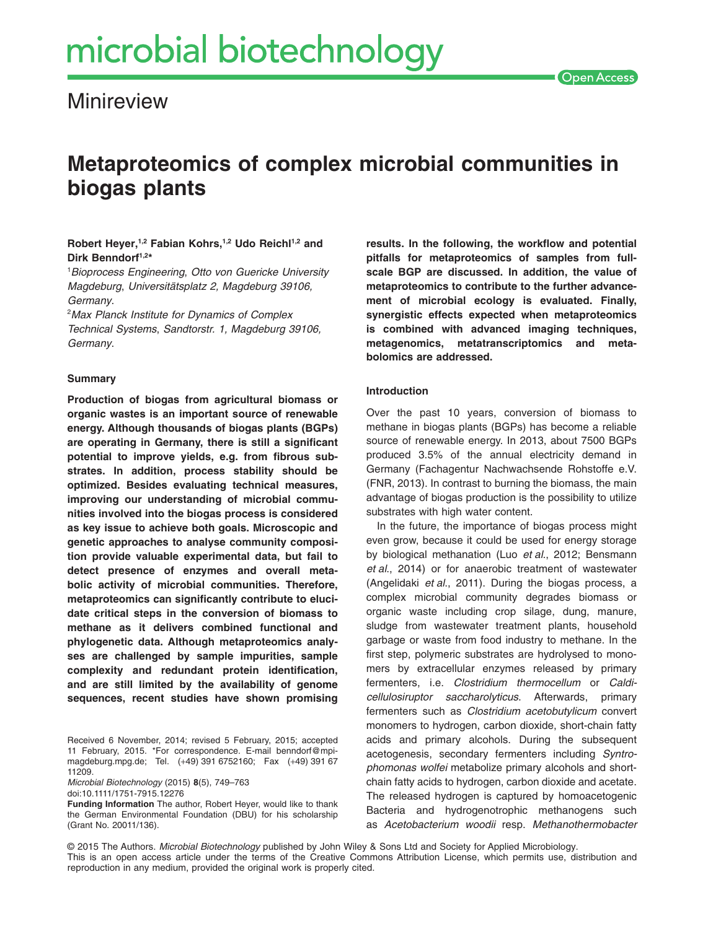**Minireview** 

# **Metaproteomics of complex microbial communities in biogas plants**

**Robert Heyer,1,2 Fabian Kohrs,1,2 Udo Reichl1,2 and Dirk Benndorf1,2\***

1 *Bioprocess Engineering*, *Otto von Guericke University Magdeburg*, *Universitätsplatz 2, Magdeburg 39106, Germany*.

2 *Max Planck Institute for Dynamics of Complex Technical Systems*, *Sandtorstr. 1, Magdeburg 39106, Germany*.

# **Summary**

**Production of biogas from agricultural biomass or organic wastes is an important source of renewable energy. Although thousands of biogas plants (BGPs) are operating in Germany, there is still a significant potential to improve yields, e.g. from fibrous substrates. In addition, process stability should be optimized. Besides evaluating technical measures, improving our understanding of microbial communities involved into the biogas process is considered as key issue to achieve both goals. Microscopic and genetic approaches to analyse community composition provide valuable experimental data, but fail to detect presence of enzymes and overall metabolic activity of microbial communities. Therefore, metaproteomics can significantly contribute to elucidate critical steps in the conversion of biomass to methane as it delivers combined functional and phylogenetic data. Although metaproteomics analyses are challenged by sample impurities, sample complexity and redundant protein identification, and are still limited by the availability of genome sequences, recent studies have shown promising**

Received 6 November, 2014; revised 5 February, 2015; accepted 11 February, 2015. \*For correspondence. E-mail [benndorf@mpi](mailto:benndorf@mpi-magdeburg.mpg.de)[magdeburg.mpg.de;](mailto:benndorf@mpi-magdeburg.mpg.de) Tel. (+49) 391 6752160; Fax (+49) 391 67 11209.

*Microbial Biotechnology* (2015) **8**(5), 749–763 doi:10.1111/1751-7915.12276

**Funding Information** The author, Robert Heyer, would like to thank the German Environmental Foundation (DBU) for his scholarship (Grant No. 20011/136).

**results. In the following, the workflow and potential pitfalls for metaproteomics of samples from fullscale BGP are discussed. In addition, the value of metaproteomics to contribute to the further advancement of microbial ecology is evaluated. Finally, synergistic effects expected when metaproteomics is combined with advanced imaging techniques, metagenomics, metatranscriptomics and metabolomics are addressed.**

## **Introduction**

Over the past 10 years, conversion of biomass to methane in biogas plants (BGPs) has become a reliable source of renewable energy. In 2013, about 7500 BGPs produced 3.5% of the annual electricity demand in Germany (Fachagentur Nachwachsende Rohstoffe e.V. (FNR, 2013). In contrast to burning the biomass, the main advantage of biogas production is the possibility to utilize substrates with high water content.

In the future, the importance of biogas process might even grow, because it could be used for energy storage by biological methanation (Luo *et al*., 2012; Bensmann *et al*., 2014) or for anaerobic treatment of wastewater (Angelidaki *et al*., 2011). During the biogas process, a complex microbial community degrades biomass or organic waste including crop silage, dung, manure, sludge from wastewater treatment plants, household garbage or waste from food industry to methane. In the first step, polymeric substrates are hydrolysed to monomers by extracellular enzymes released by primary fermenters, i.e. *Clostridium thermocellum* or *Caldicellulosiruptor saccharolyticus*. Afterwards, primary fermenters such as *Clostridium acetobutylicum* convert monomers to hydrogen, carbon dioxide, short-chain fatty acids and primary alcohols. During the subsequent acetogenesis, secondary fermenters including *Syntrophomonas wolfei* metabolize primary alcohols and shortchain fatty acids to hydrogen, carbon dioxide and acetate. The released hydrogen is captured by homoacetogenic Bacteria and hydrogenotrophic methanogens such as *Acetobacterium woodii* resp. *Methanothermobacter*

<sup>© 2015</sup> The Authors. *Microbial Biotechnology* published by John Wiley & Sons Ltd and Society for Applied Microbiology. This is an open access article under the terms of the [Creative Commons Attribution](http://creativecommons.org/licenses/by/4.0/) License, which permits use, distribution and reproduction in any medium, provided the original work is properly cited.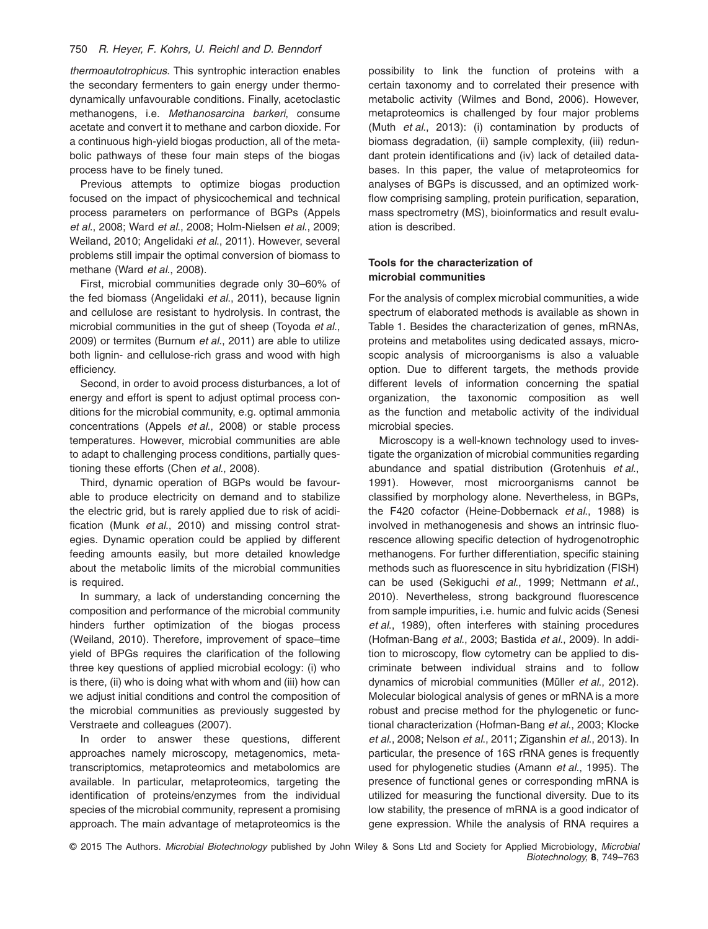## 750 *R. Heyer, F. Kohrs, U. Reichl and D. Benndorf*

*thermoautotrophicus*. This syntrophic interaction enables the secondary fermenters to gain energy under thermodynamically unfavourable conditions. Finally, acetoclastic methanogens, i.e. *Methanosarcina barkeri*, consume acetate and convert it to methane and carbon dioxide. For a continuous high-yield biogas production, all of the metabolic pathways of these four main steps of the biogas process have to be finely tuned.

Previous attempts to optimize biogas production focused on the impact of physicochemical and technical process parameters on performance of BGPs (Appels *et al*., 2008; Ward *et al*., 2008; Holm-Nielsen *et al*., 2009; Weiland, 2010; Angelidaki *et al*., 2011). However, several problems still impair the optimal conversion of biomass to methane (Ward *et al*., 2008).

First, microbial communities degrade only 30–60% of the fed biomass (Angelidaki *et al*., 2011), because lignin and cellulose are resistant to hydrolysis. In contrast, the microbial communities in the gut of sheep (Toyoda *et al*., 2009) or termites (Burnum *et al*., 2011) are able to utilize both lignin- and cellulose-rich grass and wood with high efficiency.

Second, in order to avoid process disturbances, a lot of energy and effort is spent to adjust optimal process conditions for the microbial community, e.g. optimal ammonia concentrations (Appels *et al*., 2008) or stable process temperatures. However, microbial communities are able to adapt to challenging process conditions, partially questioning these efforts (Chen *et al*., 2008).

Third, dynamic operation of BGPs would be favourable to produce electricity on demand and to stabilize the electric grid, but is rarely applied due to risk of acidification (Munk *et al*., 2010) and missing control strategies. Dynamic operation could be applied by different feeding amounts easily, but more detailed knowledge about the metabolic limits of the microbial communities is required.

In summary, a lack of understanding concerning the composition and performance of the microbial community hinders further optimization of the biogas process (Weiland, 2010). Therefore, improvement of space–time yield of BPGs requires the clarification of the following three key questions of applied microbial ecology: (i) who is there, (ii) who is doing what with whom and (iii) how can we adjust initial conditions and control the composition of the microbial communities as previously suggested by Verstraete and colleagues (2007).

In order to answer these questions, different approaches namely microscopy, metagenomics, metatranscriptomics, metaproteomics and metabolomics are available. In particular, metaproteomics, targeting the identification of proteins/enzymes from the individual species of the microbial community, represent a promising approach. The main advantage of metaproteomics is the possibility to link the function of proteins with a certain taxonomy and to correlated their presence with metabolic activity (Wilmes and Bond, 2006). However, metaproteomics is challenged by four major problems (Muth *et al*., 2013): (i) contamination by products of biomass degradation, (ii) sample complexity, (iii) redundant protein identifications and (iv) lack of detailed databases. In this paper, the value of metaproteomics for analyses of BGPs is discussed, and an optimized workflow comprising sampling, protein purification, separation, mass spectrometry (MS), bioinformatics and result evaluation is described.

# **Tools for the characterization of microbial communities**

For the analysis of complex microbial communities, a wide spectrum of elaborated methods is available as shown in Table 1. Besides the characterization of genes, mRNAs, proteins and metabolites using dedicated assays, microscopic analysis of microorganisms is also a valuable option. Due to different targets, the methods provide different levels of information concerning the spatial organization, the taxonomic composition as well as the function and metabolic activity of the individual microbial species.

Microscopy is a well-known technology used to investigate the organization of microbial communities regarding abundance and spatial distribution (Grotenhuis *et al*., 1991). However, most microorganisms cannot be classified by morphology alone. Nevertheless, in BGPs, the F420 cofactor (Heine-Dobbernack *et al*., 1988) is involved in methanogenesis and shows an intrinsic fluorescence allowing specific detection of hydrogenotrophic methanogens. For further differentiation, specific staining methods such as fluorescence in situ hybridization (FISH) can be used (Sekiguchi *et al*., 1999; Nettmann *et al*., 2010). Nevertheless, strong background fluorescence from sample impurities, i.e. humic and fulvic acids (Senesi *et al*., 1989), often interferes with staining procedures (Hofman-Bang *et al*., 2003; Bastida *et al*., 2009). In addition to microscopy, flow cytometry can be applied to discriminate between individual strains and to follow dynamics of microbial communities (Müller *et al*., 2012). Molecular biological analysis of genes or mRNA is a more robust and precise method for the phylogenetic or functional characterization (Hofman-Bang *et al*., 2003; Klocke *et al*., 2008; Nelson *et al*., 2011; Ziganshin *et al*., 2013). In particular, the presence of 16S rRNA genes is frequently used for phylogenetic studies (Amann *et al*., 1995). The presence of functional genes or corresponding mRNA is utilized for measuring the functional diversity. Due to its low stability, the presence of mRNA is a good indicator of gene expression. While the analysis of RNA requires a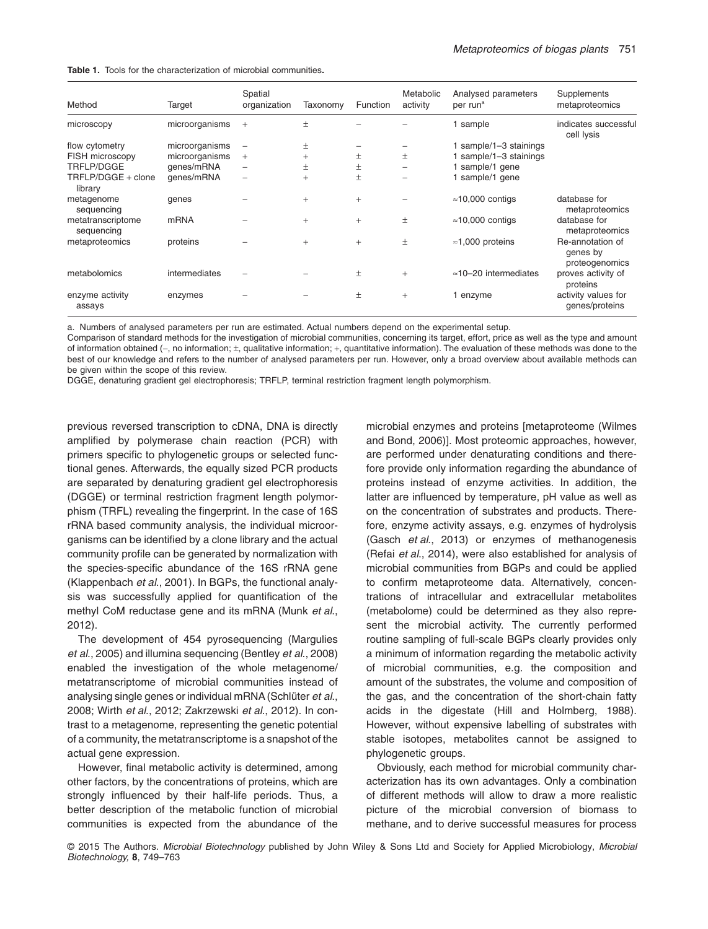|  |  | <b>Table 1.</b> Tools for the characterization of microbial communities. |  |  |
|--|--|--------------------------------------------------------------------------|--|--|
|  |  |                                                                          |  |  |

| Method                          | Target         | Spatial<br>organization | Taxonomy | Function | Metabolic<br>activity | Analysed parameters<br>per run <sup>a</sup> | Supplements<br>metaproteomics                  |
|---------------------------------|----------------|-------------------------|----------|----------|-----------------------|---------------------------------------------|------------------------------------------------|
| microscopy                      | microorganisms | $+$                     | $\pm$    |          |                       | 1 sample                                    | indicates successful<br>cell lysis             |
| flow cytometry                  | microorganisms |                         | 土        |          |                       | 1 sample/1-3 stainings                      |                                                |
| FISH microscopy                 | microorganisms | $+$                     | $\pm$    | 土        | $_{\pm}$              | 1 sample/1-3 stainings                      |                                                |
| TRFLP/DGGE                      | genes/mRNA     | -                       | 土        | 土        | -                     | 1 sample/1 gene                             |                                                |
| TRFLP/DGGE + clone<br>library   | genes/mRNA     |                         | $+$      | $\pm$    |                       | 1 sample/1 gene                             |                                                |
| metagenome<br>sequencing        | genes          |                         | $+$      | $+$      |                       | $\approx$ 10,000 contigs                    | database for<br>metaproteomics                 |
| metatranscriptome<br>sequencing | <b>mRNA</b>    |                         | $+$      | $+$      | $\pm$                 | $\approx$ 10,000 contigs                    | database for<br>metaproteomics                 |
| metaproteomics                  | proteins       |                         | $+$      | $+$      | $\pm$                 | $\approx$ 1,000 proteins                    | Re-annotation of<br>genes by<br>proteogenomics |
| metabolomics                    | intermediates  |                         |          | 土        | $+$                   | $\approx$ 10-20 intermediates               | proves activity of<br>proteins                 |
| enzyme activity<br>assays       | enzymes        |                         |          | 土        | $+$                   | 1 enzyme                                    | activity values for<br>genes/proteins          |

a. Numbers of analysed parameters per run are estimated. Actual numbers depend on the experimental setup.

Comparison of standard methods for the investigation of microbial communities, concerning its target, effort, price as well as the type and amount of information obtained (−, no information; ±, qualitative information; +, quantitative information). The evaluation of these methods was done to the best of our knowledge and refers to the number of analysed parameters per run. However, only a broad overview about available methods can be given within the scope of this review.

DGGE, denaturing gradient gel electrophoresis; TRFLP, terminal restriction fragment length polymorphism.

previous reversed transcription to cDNA, DNA is directly amplified by polymerase chain reaction (PCR) with primers specific to phylogenetic groups or selected functional genes. Afterwards, the equally sized PCR products are separated by denaturing gradient gel electrophoresis (DGGE) or terminal restriction fragment length polymorphism (TRFL) revealing the fingerprint. In the case of 16S rRNA based community analysis, the individual microorganisms can be identified by a clone library and the actual community profile can be generated by normalization with the species-specific abundance of the 16S rRNA gene (Klappenbach *et al*., 2001). In BGPs, the functional analysis was successfully applied for quantification of the methyl CoM reductase gene and its mRNA (Munk *et al*., 2012).

The development of 454 pyrosequencing (Margulies *et al*., 2005) and illumina sequencing (Bentley *et al*., 2008) enabled the investigation of the whole metagenome/ metatranscriptome of microbial communities instead of analysing single genes or individual mRNA (Schlüter *et al*., 2008; Wirth *et al*., 2012; Zakrzewski *et al*., 2012). In contrast to a metagenome, representing the genetic potential of a community, the metatranscriptome is a snapshot of the actual gene expression.

However, final metabolic activity is determined, among other factors, by the concentrations of proteins, which are strongly influenced by their half-life periods. Thus, a better description of the metabolic function of microbial communities is expected from the abundance of the microbial enzymes and proteins [metaproteome (Wilmes and Bond, 2006)]. Most proteomic approaches, however, are performed under denaturating conditions and therefore provide only information regarding the abundance of proteins instead of enzyme activities. In addition, the latter are influenced by temperature, pH value as well as on the concentration of substrates and products. Therefore, enzyme activity assays, e.g. enzymes of hydrolysis (Gasch *et al*., 2013) or enzymes of methanogenesis (Refai *et al*., 2014), were also established for analysis of microbial communities from BGPs and could be applied to confirm metaproteome data. Alternatively, concentrations of intracellular and extracellular metabolites (metabolome) could be determined as they also represent the microbial activity. The currently performed routine sampling of full-scale BGPs clearly provides only a minimum of information regarding the metabolic activity of microbial communities, e.g. the composition and amount of the substrates, the volume and composition of the gas, and the concentration of the short-chain fatty acids in the digestate (Hill and Holmberg, 1988). However, without expensive labelling of substrates with stable isotopes, metabolites cannot be assigned to phylogenetic groups.

Obviously, each method for microbial community characterization has its own advantages. Only a combination of different methods will allow to draw a more realistic picture of the microbial conversion of biomass to methane, and to derive successful measures for process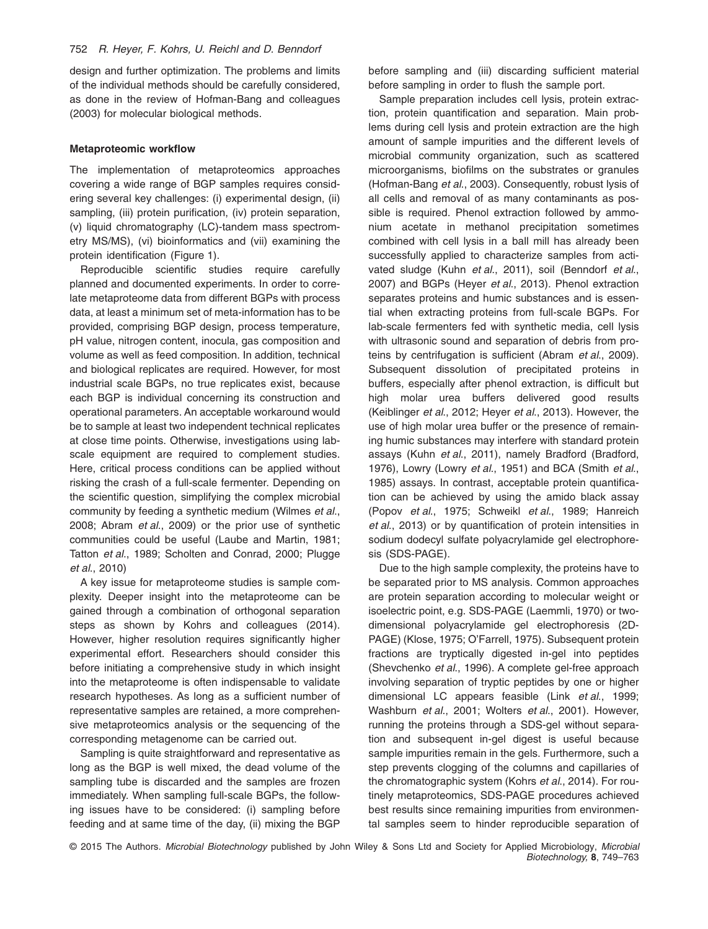design and further optimization. The problems and limits of the individual methods should be carefully considered, as done in the review of Hofman-Bang and colleagues (2003) for molecular biological methods.

#### **Metaproteomic workflow**

The implementation of metaproteomics approaches covering a wide range of BGP samples requires considering several key challenges: (i) experimental design, (ii) sampling, (iii) protein purification, (iv) protein separation, (v) liquid chromatography (LC)-tandem mass spectrometry MS/MS), (vi) bioinformatics and (vii) examining the protein identification (Figure 1).

Reproducible scientific studies require carefully planned and documented experiments. In order to correlate metaproteome data from different BGPs with process data, at least a minimum set of meta-information has to be provided, comprising BGP design, process temperature, pH value, nitrogen content, inocula, gas composition and volume as well as feed composition. In addition, technical and biological replicates are required. However, for most industrial scale BGPs, no true replicates exist, because each BGP is individual concerning its construction and operational parameters. An acceptable workaround would be to sample at least two independent technical replicates at close time points. Otherwise, investigations using labscale equipment are required to complement studies. Here, critical process conditions can be applied without risking the crash of a full-scale fermenter. Depending on the scientific question, simplifying the complex microbial community by feeding a synthetic medium (Wilmes *et al*., 2008; Abram *et al*., 2009) or the prior use of synthetic communities could be useful (Laube and Martin, 1981; Tatton *et al*., 1989; Scholten and Conrad, 2000; Plugge *et al*., 2010)

A key issue for metaproteome studies is sample complexity. Deeper insight into the metaproteome can be gained through a combination of orthogonal separation steps as shown by Kohrs and colleagues (2014). However, higher resolution requires significantly higher experimental effort. Researchers should consider this before initiating a comprehensive study in which insight into the metaproteome is often indispensable to validate research hypotheses. As long as a sufficient number of representative samples are retained, a more comprehensive metaproteomics analysis or the sequencing of the corresponding metagenome can be carried out.

Sampling is quite straightforward and representative as long as the BGP is well mixed, the dead volume of the sampling tube is discarded and the samples are frozen immediately. When sampling full-scale BGPs, the following issues have to be considered: (i) sampling before feeding and at same time of the day, (ii) mixing the BGP

before sampling and (iii) discarding sufficient material before sampling in order to flush the sample port.

Sample preparation includes cell lysis, protein extraction, protein quantification and separation. Main problems during cell lysis and protein extraction are the high amount of sample impurities and the different levels of microbial community organization, such as scattered microorganisms, biofilms on the substrates or granules (Hofman-Bang *et al*., 2003). Consequently, robust lysis of all cells and removal of as many contaminants as possible is required. Phenol extraction followed by ammonium acetate in methanol precipitation sometimes combined with cell lysis in a ball mill has already been successfully applied to characterize samples from activated sludge (Kuhn *et al*., 2011), soil (Benndorf *et al*., 2007) and BGPs (Heyer *et al*., 2013). Phenol extraction separates proteins and humic substances and is essential when extracting proteins from full-scale BGPs. For lab-scale fermenters fed with synthetic media, cell lysis with ultrasonic sound and separation of debris from proteins by centrifugation is sufficient (Abram *et al*., 2009). Subsequent dissolution of precipitated proteins in buffers, especially after phenol extraction, is difficult but high molar urea buffers delivered good results (Keiblinger *et al*., 2012; Heyer *et al*., 2013). However, the use of high molar urea buffer or the presence of remaining humic substances may interfere with standard protein assays (Kuhn *et al*., 2011), namely Bradford (Bradford, 1976), Lowry (Lowry *et al*., 1951) and BCA (Smith *et al*., 1985) assays. In contrast, acceptable protein quantification can be achieved by using the amido black assay (Popov *et al*., 1975; Schweikl *et al*., 1989; Hanreich *et al*., 2013) or by quantification of protein intensities in sodium dodecyl sulfate polyacrylamide gel electrophoresis (SDS-PAGE).

Due to the high sample complexity, the proteins have to be separated prior to MS analysis. Common approaches are protein separation according to molecular weight or isoelectric point, e.g. SDS-PAGE (Laemmli, 1970) or twodimensional polyacrylamide gel electrophoresis (2D-PAGE) (Klose, 1975; O'Farrell, 1975). Subsequent protein fractions are tryptically digested in-gel into peptides (Shevchenko *et al*., 1996). A complete gel-free approach involving separation of tryptic peptides by one or higher dimensional LC appears feasible (Link *et al*., 1999; Washburn *et al*., 2001; Wolters *et al*., 2001). However, running the proteins through a SDS-gel without separation and subsequent in-gel digest is useful because sample impurities remain in the gels. Furthermore, such a step prevents clogging of the columns and capillaries of the chromatographic system (Kohrs *et al*., 2014). For routinely metaproteomics, SDS-PAGE procedures achieved best results since remaining impurities from environmental samples seem to hinder reproducible separation of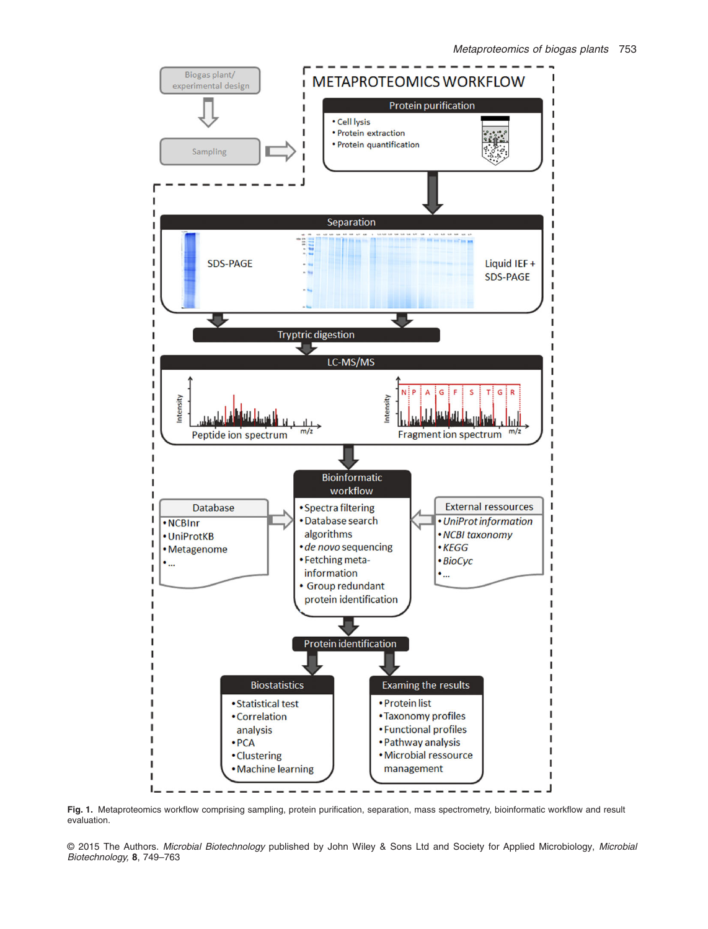

Fig. 1. Metaproteomics workflow comprising sampling, protein purification, separation, mass spectrometry, bioinformatic workflow and result evaluation.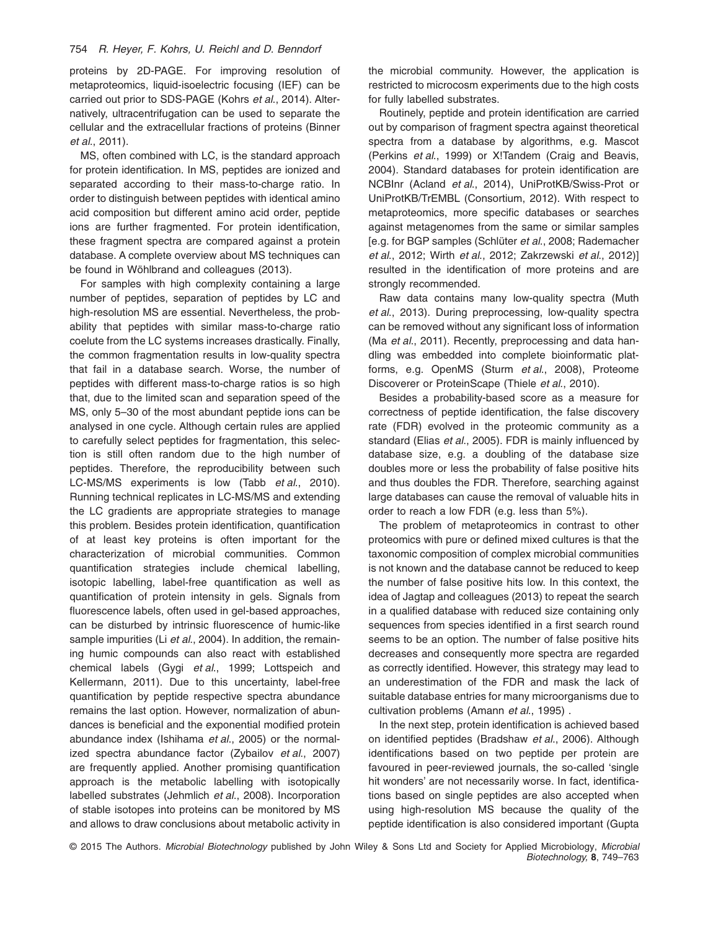#### 754 *R. Heyer, F. Kohrs, U. Reichl and D. Benndorf*

proteins by 2D-PAGE. For improving resolution of metaproteomics, liquid-isoelectric focusing (IEF) can be carried out prior to SDS-PAGE (Kohrs *et al*., 2014). Alternatively, ultracentrifugation can be used to separate the cellular and the extracellular fractions of proteins (Binner *et al*., 2011).

MS, often combined with LC, is the standard approach for protein identification. In MS, peptides are ionized and separated according to their mass-to-charge ratio. In order to distinguish between peptides with identical amino acid composition but different amino acid order, peptide ions are further fragmented. For protein identification, these fragment spectra are compared against a protein database. A complete overview about MS techniques can be found in Wöhlbrand and colleagues (2013).

For samples with high complexity containing a large number of peptides, separation of peptides by LC and high-resolution MS are essential. Nevertheless, the probability that peptides with similar mass-to-charge ratio coelute from the LC systems increases drastically. Finally, the common fragmentation results in low-quality spectra that fail in a database search. Worse, the number of peptides with different mass-to-charge ratios is so high that, due to the limited scan and separation speed of the MS, only 5–30 of the most abundant peptide ions can be analysed in one cycle. Although certain rules are applied to carefully select peptides for fragmentation, this selection is still often random due to the high number of peptides. Therefore, the reproducibility between such LC-MS/MS experiments is low (Tabb *et al*., 2010). Running technical replicates in LC-MS/MS and extending the LC gradients are appropriate strategies to manage this problem. Besides protein identification, quantification of at least key proteins is often important for the characterization of microbial communities. Common quantification strategies include chemical labelling, isotopic labelling, label-free quantification as well as quantification of protein intensity in gels. Signals from fluorescence labels, often used in gel-based approaches, can be disturbed by intrinsic fluorescence of humic-like sample impurities (Li *et al*., 2004). In addition, the remaining humic compounds can also react with established chemical labels (Gygi *et al*., 1999; Lottspeich and Kellermann, 2011). Due to this uncertainty, label-free quantification by peptide respective spectra abundance remains the last option. However, normalization of abundances is beneficial and the exponential modified protein abundance index (Ishihama *et al*., 2005) or the normalized spectra abundance factor (Zybailov *et al*., 2007) are frequently applied. Another promising quantification approach is the metabolic labelling with isotopically labelled substrates (Jehmlich *et al*., 2008). Incorporation of stable isotopes into proteins can be monitored by MS and allows to draw conclusions about metabolic activity in

the microbial community. However, the application is restricted to microcosm experiments due to the high costs for fully labelled substrates.

Routinely, peptide and protein identification are carried out by comparison of fragment spectra against theoretical spectra from a database by algorithms, e.g. Mascot (Perkins *et al*., 1999) or X!Tandem (Craig and Beavis, 2004). Standard databases for protein identification are NCBInr (Acland *et al*., 2014), UniProtKB/Swiss-Prot or UniProtKB/TrEMBL (Consortium, 2012). With respect to metaproteomics, more specific databases or searches against metagenomes from the same or similar samples [e.g. for BGP samples (Schlüter *et al*., 2008; Rademacher *et al*., 2012; Wirth *et al*., 2012; Zakrzewski *et al*., 2012)] resulted in the identification of more proteins and are strongly recommended.

Raw data contains many low-quality spectra (Muth *et al*., 2013). During preprocessing, low-quality spectra can be removed without any significant loss of information (Ma *et al*., 2011). Recently, preprocessing and data handling was embedded into complete bioinformatic platforms, e.g. OpenMS (Sturm *et al*., 2008), Proteome Discoverer or ProteinScape (Thiele *et al*., 2010).

Besides a probability-based score as a measure for correctness of peptide identification, the false discovery rate (FDR) evolved in the proteomic community as a standard (Elias *et al*., 2005). FDR is mainly influenced by database size, e.g. a doubling of the database size doubles more or less the probability of false positive hits and thus doubles the FDR. Therefore, searching against large databases can cause the removal of valuable hits in order to reach a low FDR (e.g. less than 5%).

The problem of metaproteomics in contrast to other proteomics with pure or defined mixed cultures is that the taxonomic composition of complex microbial communities is not known and the database cannot be reduced to keep the number of false positive hits low. In this context, the idea of Jagtap and colleagues (2013) to repeat the search in a qualified database with reduced size containing only sequences from species identified in a first search round seems to be an option. The number of false positive hits decreases and consequently more spectra are regarded as correctly identified. However, this strategy may lead to an underestimation of the FDR and mask the lack of suitable database entries for many microorganisms due to cultivation problems (Amann *et al*., 1995) .

In the next step, protein identification is achieved based on identified peptides (Bradshaw *et al*., 2006). Although identifications based on two peptide per protein are favoured in peer-reviewed journals, the so-called 'single hit wonders' are not necessarily worse. In fact, identifications based on single peptides are also accepted when using high-resolution MS because the quality of the peptide identification is also considered important (Gupta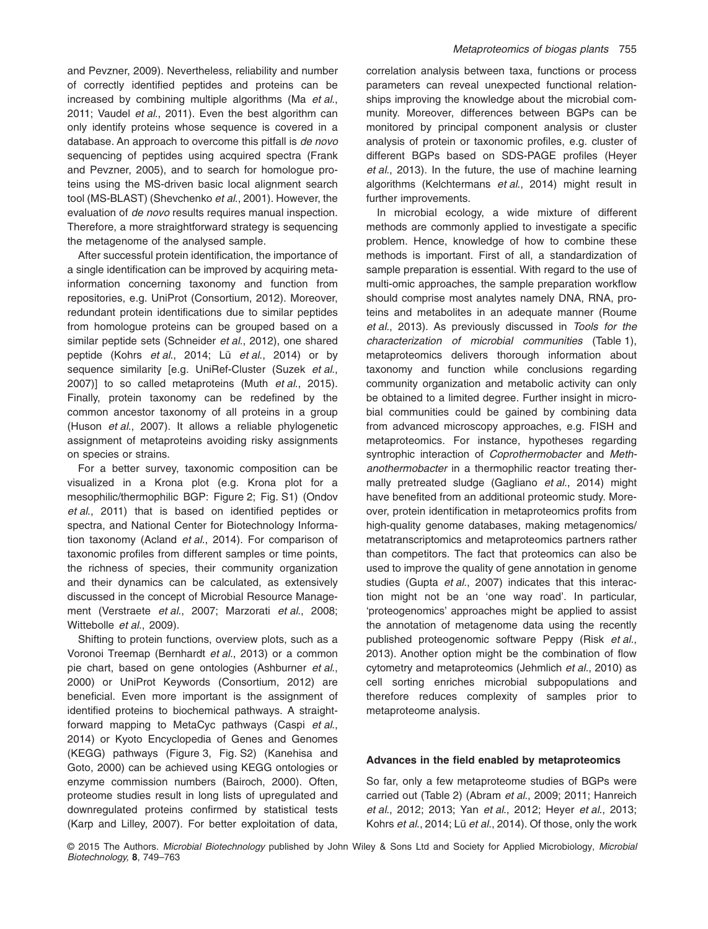and Pevzner, 2009). Nevertheless, reliability and number of correctly identified peptides and proteins can be increased by combining multiple algorithms (Ma *et al*., 2011; Vaudel *et al*., 2011). Even the best algorithm can only identify proteins whose sequence is covered in a database. An approach to overcome this pitfall is *de novo* sequencing of peptides using acquired spectra (Frank and Pevzner, 2005), and to search for homologue proteins using the MS-driven basic local alignment search tool (MS-BLAST) (Shevchenko *et al*., 2001). However, the evaluation of *de novo* results requires manual inspection. Therefore, a more straightforward strategy is sequencing the metagenome of the analysed sample.

After successful protein identification, the importance of a single identification can be improved by acquiring metainformation concerning taxonomy and function from repositories, e.g. UniProt (Consortium, 2012). Moreover, redundant protein identifications due to similar peptides from homologue proteins can be grouped based on a similar peptide sets (Schneider *et al*., 2012), one shared peptide (Kohrs *et al*., 2014; Lü *et al*., 2014) or by sequence similarity [e.g. UniRef-Cluster (Suzek *et al*., 2007)] to so called metaproteins (Muth *et al*., 2015). Finally, protein taxonomy can be redefined by the common ancestor taxonomy of all proteins in a group (Huson *et al*., 2007). It allows a reliable phylogenetic assignment of metaproteins avoiding risky assignments on species or strains.

For a better survey, taxonomic composition can be visualized in a Krona plot (e.g. Krona plot for a mesophilic/thermophilic BGP: Figure 2; Fig. S1) (Ondov *et al*., 2011) that is based on identified peptides or spectra, and National Center for Biotechnology Information taxonomy (Acland *et al*., 2014). For comparison of taxonomic profiles from different samples or time points, the richness of species, their community organization and their dynamics can be calculated, as extensively discussed in the concept of Microbial Resource Management (Verstraete *et al*., 2007; Marzorati *et al*., 2008; Wittebolle *et al*., 2009).

Shifting to protein functions, overview plots, such as a Voronoi Treemap (Bernhardt *et al*., 2013) or a common pie chart, based on gene ontologies (Ashburner *et al*., 2000) or UniProt Keywords (Consortium, 2012) are beneficial. Even more important is the assignment of identified proteins to biochemical pathways. A straightforward mapping to MetaCyc pathways (Caspi *et al*., 2014) or Kyoto Encyclopedia of Genes and Genomes (KEGG) pathways (Figure 3, Fig. S2) (Kanehisa and Goto, 2000) can be achieved using KEGG ontologies or enzyme commission numbers (Bairoch, 2000). Often, proteome studies result in long lists of upregulated and downregulated proteins confirmed by statistical tests (Karp and Lilley, 2007). For better exploitation of data,

correlation analysis between taxa, functions or process parameters can reveal unexpected functional relationships improving the knowledge about the microbial community. Moreover, differences between BGPs can be monitored by principal component analysis or cluster analysis of protein or taxonomic profiles, e.g. cluster of different BGPs based on SDS-PAGE profiles (Heyer *et al*., 2013). In the future, the use of machine learning algorithms (Kelchtermans *et al*., 2014) might result in further improvements.

In microbial ecology, a wide mixture of different methods are commonly applied to investigate a specific problem. Hence, knowledge of how to combine these methods is important. First of all, a standardization of sample preparation is essential. With regard to the use of multi-omic approaches, the sample preparation workflow should comprise most analytes namely DNA, RNA, proteins and metabolites in an adequate manner (Roume *et al*., 2013). As previously discussed in *Tools for the characterization of microbial communities* (Table 1), metaproteomics delivers thorough information about taxonomy and function while conclusions regarding community organization and metabolic activity can only be obtained to a limited degree. Further insight in microbial communities could be gained by combining data from advanced microscopy approaches, e.g. FISH and metaproteomics. For instance, hypotheses regarding syntrophic interaction of *Coprothermobacter* and *Methanothermobacter* in a thermophilic reactor treating thermally pretreated sludge (Gagliano *et al*., 2014) might have benefited from an additional proteomic study. Moreover, protein identification in metaproteomics profits from high-quality genome databases, making metagenomics/ metatranscriptomics and metaproteomics partners rather than competitors. The fact that proteomics can also be used to improve the quality of gene annotation in genome studies (Gupta *et al*., 2007) indicates that this interaction might not be an 'one way road'. In particular, 'proteogenomics' approaches might be applied to assist the annotation of metagenome data using the recently published proteogenomic software Peppy (Risk *et al*., 2013). Another option might be the combination of flow cytometry and metaproteomics (Jehmlich *et al*., 2010) as cell sorting enriches microbial subpopulations and therefore reduces complexity of samples prior to metaproteome analysis.

# **Advances in the field enabled by metaproteomics**

So far, only a few metaproteome studies of BGPs were carried out (Table 2) (Abram *et al*., 2009; 2011; Hanreich *et al*., 2012; 2013; Yan *et al*., 2012; Heyer *et al*., 2013; Kohrs *et al*., 2014; Lü *et al*., 2014). Of those, only the work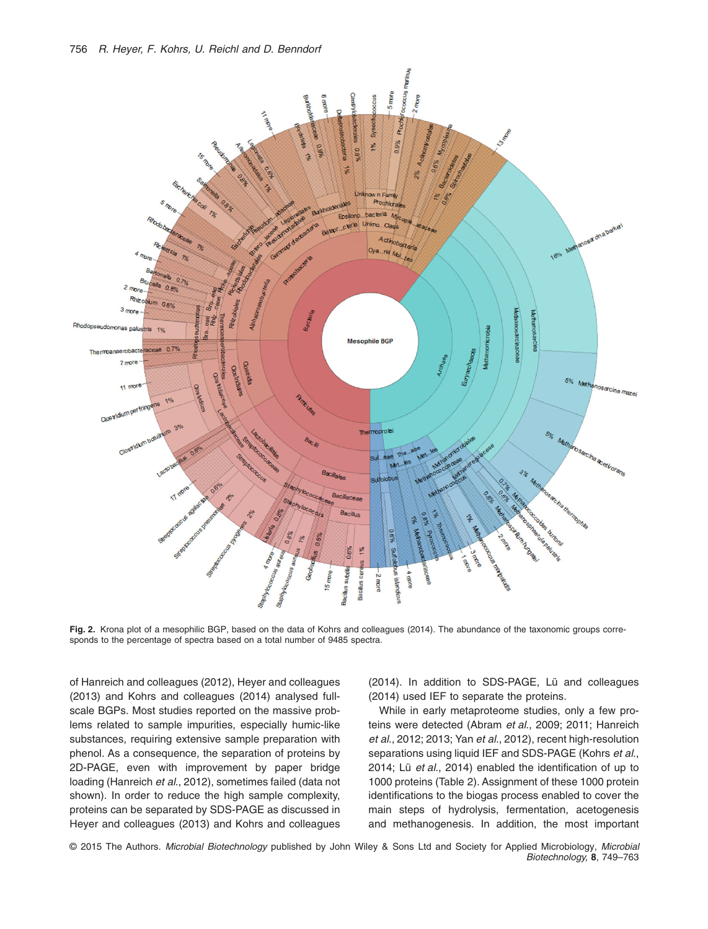

**Fig. 2.** Krona plot of a mesophilic BGP, based on the data of Kohrs and colleagues (2014). The abundance of the taxonomic groups corresponds to the percentage of spectra based on a total number of 9485 spectra.

of Hanreich and colleagues (2012), Heyer and colleagues (2013) and Kohrs and colleagues (2014) analysed fullscale BGPs. Most studies reported on the massive problems related to sample impurities, especially humic-like substances, requiring extensive sample preparation with phenol. As a consequence, the separation of proteins by 2D-PAGE, even with improvement by paper bridge loading (Hanreich *et al*., 2012), sometimes failed (data not shown). In order to reduce the high sample complexity, proteins can be separated by SDS-PAGE as discussed in Heyer and colleagues (2013) and Kohrs and colleagues

(2014). In addition to SDS-PAGE, Lü and colleagues (2014) used IEF to separate the proteins.

While in early metaproteome studies, only a few proteins were detected (Abram *et al*., 2009; 2011; Hanreich *et al*., 2012; 2013; Yan *et al*., 2012), recent high-resolution separations using liquid IEF and SDS-PAGE (Kohrs *et al*., 2014; Lü *et al*., 2014) enabled the identification of up to 1000 proteins (Table 2). Assignment of these 1000 protein identifications to the biogas process enabled to cover the main steps of hydrolysis, fermentation, acetogenesis and methanogenesis. In addition, the most important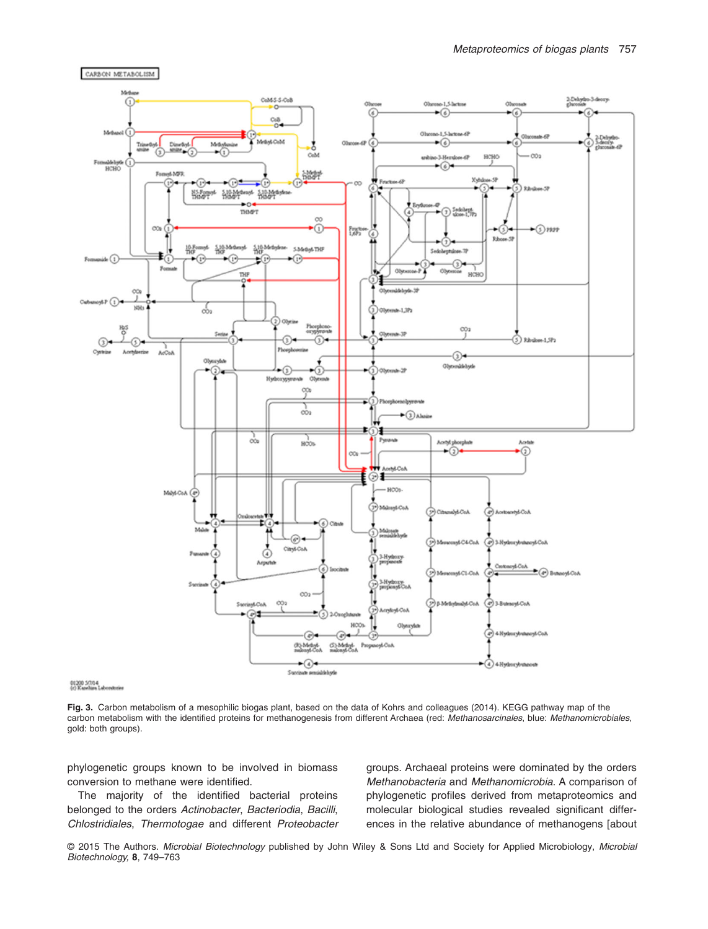

01200 50114<br>(c) Kazehian Laboratories

CARBON METABOLISM

**Fig. 3.** Carbon metabolism of a mesophilic biogas plant, based on the data of Kohrs and colleagues (2014). KEGG pathway map of the carbon metabolism with the identified proteins for methanogenesis from different Archaea (red: *Methanosarcinales*, blue: *Methanomicrobiales*, gold: both groups).

phylogenetic groups known to be involved in biomass conversion to methane were identified.

The majority of the identified bacterial proteins belonged to the orders *Actinobacter*, *Bacteriodia*, *Bacilli*, *Chlostridiales*, *Thermotogae* and different *Proteobacter* groups. Archaeal proteins were dominated by the orders *Methanobacteria* and *Methanomicrobia*. A comparison of phylogenetic profiles derived from metaproteomics and molecular biological studies revealed significant differences in the relative abundance of methanogens [about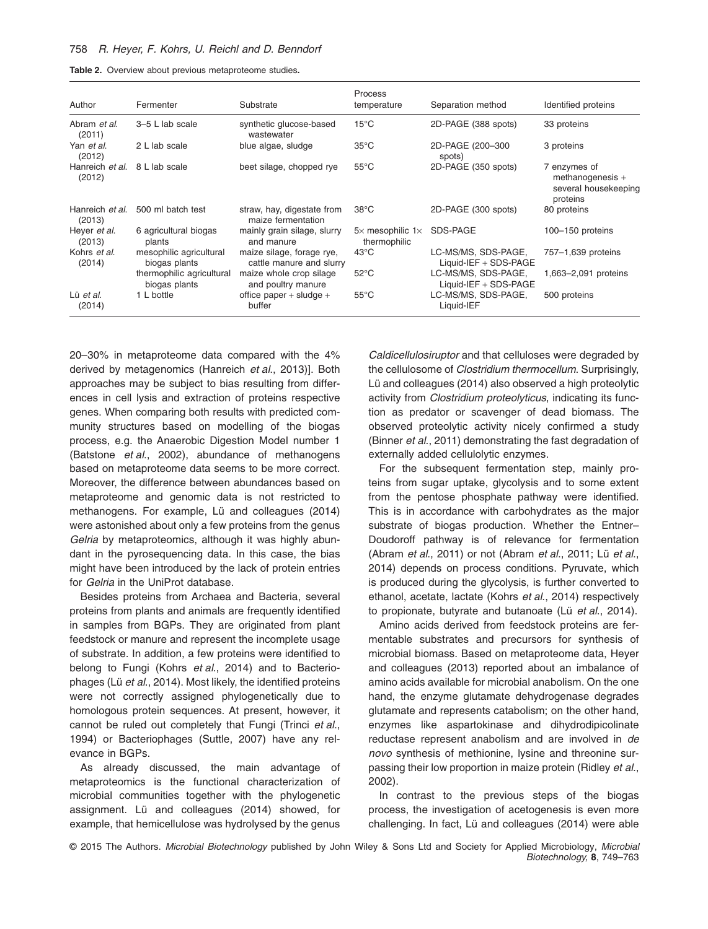| Table 2. Overview about previous metaproteome studies. |  |  |  |  |
|--------------------------------------------------------|--|--|--|--|
|--------------------------------------------------------|--|--|--|--|

| Author                    | Fermenter                                  | Substrate                                             | Process<br>temperature               | Separation method                              | Identified proteins                                                  |
|---------------------------|--------------------------------------------|-------------------------------------------------------|--------------------------------------|------------------------------------------------|----------------------------------------------------------------------|
| Abram et al.<br>(2011)    | 3-5 L lab scale                            | synthetic glucose-based<br>wastewater                 | $15^{\circ}$ C                       | 2D-PAGE (388 spots)                            | 33 proteins                                                          |
| Yan et al.<br>(2012)      | 2 L lab scale                              | blue algae, sludge                                    | $35^{\circ}$ C                       | 2D-PAGE (200-300<br>spots)                     | 3 proteins                                                           |
| Hanreich et al.<br>(2012) | 8 L lab scale                              | beet silage, chopped rye                              | $55^{\circ}$ C                       | 2D-PAGE (350 spots)                            | 7 enzymes of<br>methanogenesis +<br>several housekeeping<br>proteins |
| Hanreich et al.<br>(2013) | 500 ml batch test                          | straw, hay, digestate from<br>maize fermentation      | $38^{\circ}$ C                       | 2D-PAGE (300 spots)                            | 80 proteins                                                          |
| Hever et al.<br>(2013)    | 6 agricultural biogas<br>plants            | mainly grain silage, slurry<br>and manure             | $5x$ mesophilic $1x$<br>thermophilic | SDS-PAGE                                       | 100-150 proteins                                                     |
| Kohrs et al.<br>(2014)    | mesophilic agricultural<br>biogas plants   | maize silage, forage rye,<br>cattle manure and slurry | $43^{\circ}$ C                       | LC-MS/MS, SDS-PAGE,<br>Liquid-IEF $+$ SDS-PAGE | 757-1,639 proteins                                                   |
|                           | thermophilic agricultural<br>biogas plants | maize whole crop silage<br>and poultry manure         | $52^{\circ}$ C                       | LC-MS/MS, SDS-PAGE,<br>Liquid-IEF $+$ SDS-PAGE | 1,663-2,091 proteins                                                 |
| Lü et al.<br>(2014)       | 1 L bottle                                 | office paper $+$ sludge $+$<br>buffer                 | $55^{\circ}$ C                       | LC-MS/MS, SDS-PAGE,<br>Liquid-IEF              | 500 proteins                                                         |

20–30% in metaproteome data compared with the 4% derived by metagenomics (Hanreich *et al*., 2013)]. Both approaches may be subject to bias resulting from differences in cell lysis and extraction of proteins respective genes. When comparing both results with predicted community structures based on modelling of the biogas process, e.g. the Anaerobic Digestion Model number 1 (Batstone *et al*., 2002), abundance of methanogens based on metaproteome data seems to be more correct. Moreover, the difference between abundances based on metaproteome and genomic data is not restricted to methanogens. For example, Lü and colleagues (2014) were astonished about only a few proteins from the genus *Gelria* by metaproteomics, although it was highly abundant in the pyrosequencing data. In this case, the bias might have been introduced by the lack of protein entries for *Gelria* in the UniProt database.

Besides proteins from Archaea and Bacteria, several proteins from plants and animals are frequently identified in samples from BGPs. They are originated from plant feedstock or manure and represent the incomplete usage of substrate. In addition, a few proteins were identified to belong to Fungi (Kohrs *et al*., 2014) and to Bacteriophages (Lü *et al*., 2014). Most likely, the identified proteins were not correctly assigned phylogenetically due to homologous protein sequences. At present, however, it cannot be ruled out completely that Fungi (Trinci *et al*., 1994) or Bacteriophages (Suttle, 2007) have any relevance in BGPs.

As already discussed, the main advantage of metaproteomics is the functional characterization of microbial communities together with the phylogenetic assignment. Lü and colleagues (2014) showed, for example, that hemicellulose was hydrolysed by the genus *Caldicellulosiruptor* and that celluloses were degraded by the cellulosome of *Clostridium thermocellum*. Surprisingly, Lü and colleagues (2014) also observed a high proteolytic activity from *Clostridium proteolyticus*, indicating its function as predator or scavenger of dead biomass. The observed proteolytic activity nicely confirmed a study (Binner *et al*., 2011) demonstrating the fast degradation of externally added cellulolytic enzymes.

For the subsequent fermentation step, mainly proteins from sugar uptake, glycolysis and to some extent from the pentose phosphate pathway were identified. This is in accordance with carbohydrates as the major substrate of biogas production. Whether the Entner– Doudoroff pathway is of relevance for fermentation (Abram *et al*., 2011) or not (Abram *et al*., 2011; Lü *et al*., 2014) depends on process conditions. Pyruvate, which is produced during the glycolysis, is further converted to ethanol, acetate, lactate (Kohrs *et al*., 2014) respectively to propionate, butyrate and butanoate (Lü *et al*., 2014).

Amino acids derived from feedstock proteins are fermentable substrates and precursors for synthesis of microbial biomass. Based on metaproteome data, Heyer and colleagues (2013) reported about an imbalance of amino acids available for microbial anabolism. On the one hand, the enzyme glutamate dehydrogenase degrades glutamate and represents catabolism; on the other hand, enzymes like aspartokinase and dihydrodipicolinate reductase represent anabolism and are involved in *de novo* synthesis of methionine, lysine and threonine surpassing their low proportion in maize protein (Ridley *et al*., 2002).

In contrast to the previous steps of the biogas process, the investigation of acetogenesis is even more challenging. In fact, Lü and colleagues (2014) were able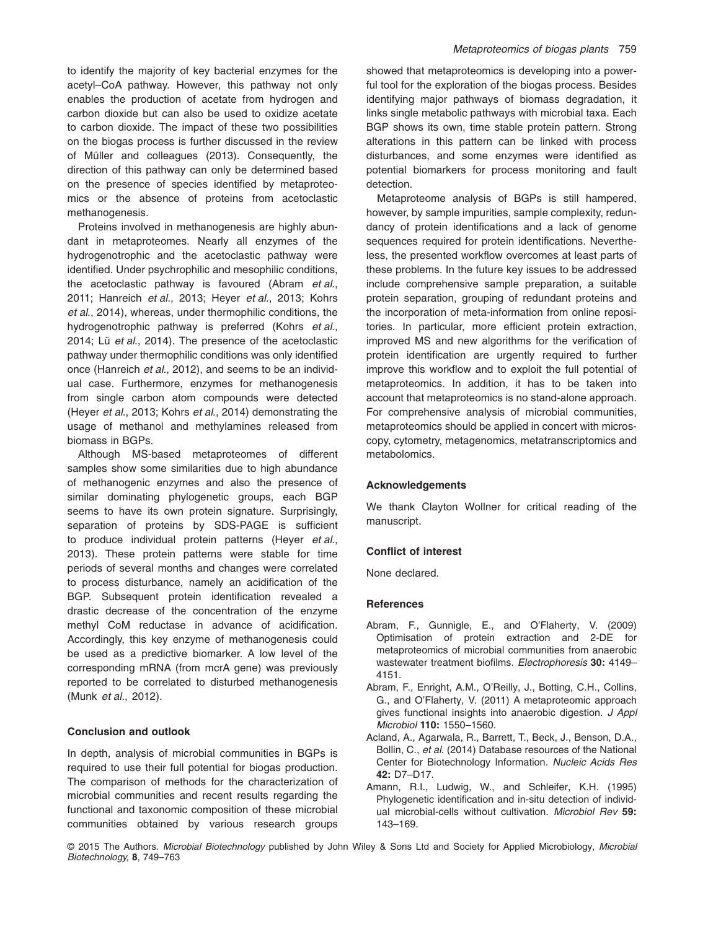to identify the majority of key bacterial enzymes for the acetyl–CoA pathway. However, this pathway not only enables the production of acetate from hydrogen and carbon dioxide but can also be used to oxidize acetate to carbon dioxide. The impact of these two possibilities on the biogas process is further discussed in the review of Müller and colleagues (2013). Consequently, the direction of this pathway can only be determined based on the presence of species identified by metaproteomics or the absence of proteins from acetoclastic methanogenesis.

Proteins involved in methanogenesis are highly abundant in metaproteomes. Nearly all enzymes of the hydrogenotrophic and the acetoclastic pathway were identified. Under psychrophilic and mesophilic conditions, the acetoclastic pathway is favoured (Abram *et al*., 2011; Hanreich *et al*., 2013; Heyer *et al*., 2013; Kohrs *et al*., 2014), whereas, under thermophilic conditions, the hydrogenotrophic pathway is preferred (Kohrs *et al*., 2014; Lü *et al*., 2014). The presence of the acetoclastic pathway under thermophilic conditions was only identified once (Hanreich *et al*., 2012), and seems to be an individual case. Furthermore, enzymes for methanogenesis from single carbon atom compounds were detected (Heyer *et al*., 2013; Kohrs *et al*., 2014) demonstrating the usage of methanol and methylamines released from biomass in BGPs.

Although MS-based metaproteomes of different samples show some similarities due to high abundance of methanogenic enzymes and also the presence of similar dominating phylogenetic groups, each BGP seems to have its own protein signature. Surprisingly, separation of proteins by SDS-PAGE is sufficient to produce individual protein patterns (Heyer *et al*., 2013). These protein patterns were stable for time periods of several months and changes were correlated to process disturbance, namely an acidification of the BGP. Subsequent protein identification revealed a drastic decrease of the concentration of the enzyme methyl CoM reductase in advance of acidification. Accordingly, this key enzyme of methanogenesis could be used as a predictive biomarker. A low level of the corresponding mRNA (from mcrA gene) was previously reported to be correlated to disturbed methanogenesis (Munk *et al*., 2012).

# **Conclusion and outlook**

In depth, analysis of microbial communities in BGPs is required to use their full potential for biogas production. The comparison of methods for the characterization of microbial communities and recent results regarding the functional and taxonomic composition of these microbial communities obtained by various research groups showed that metaproteomics is developing into a powerful tool for the exploration of the biogas process. Besides identifying major pathways of biomass degradation, it links single metabolic pathways with microbial taxa. Each BGP shows its own, time stable protein pattern. Strong alterations in this pattern can be linked with process disturbances, and some enzymes were identified as potential biomarkers for process monitoring and fault detection.

Metaproteome analysis of BGPs is still hampered, however, by sample impurities, sample complexity, redundancy of protein identifications and a lack of genome sequences required for protein identifications. Nevertheless, the presented workflow overcomes at least parts of these problems. In the future key issues to be addressed include comprehensive sample preparation, a suitable protein separation, grouping of redundant proteins and the incorporation of meta-information from online repositories. In particular, more efficient protein extraction, improved MS and new algorithms for the verification of protein identification are urgently required to further improve this workflow and to exploit the full potential of metaproteomics. In addition, it has to be taken into account that metaproteomics is no stand-alone approach. For comprehensive analysis of microbial communities, metaproteomics should be applied in concert with microscopy, cytometry, metagenomics, metatranscriptomics and metabolomics.

#### **Acknowledgements**

We thank Clayton Wollner for critical reading of the manuscript.

#### **Conflict of interest**

None declared.

#### **References**

- Abram, F., Gunnigle, E., and O'Flaherty, V. (2009) Optimisation of protein extraction and 2-DE for metaproteomics of microbial communities from anaerobic wastewater treatment biofilms. *Electrophoresis* **30:** 4149– 4151.
- Abram, F., Enright, A.M., O'Reilly, J., Botting, C.H., Collins, G., and O'Flaherty, V. (2011) A metaproteomic approach gives functional insights into anaerobic digestion. *J Appl Microbiol* **110:** 1550–1560.
- Acland, A., Agarwala, R., Barrett, T., Beck, J., Benson, D.A., Bollin, C., *et al*. (2014) Database resources of the National Center for Biotechnology Information. *Nucleic Acids Res* **42:** D7–D17.
- Amann, R.I., Ludwig, W., and Schleifer, K.H. (1995) Phylogenetic identification and in-situ detection of individual microbial-cells without cultivation. *Microbiol Rev* **59:** 143–169.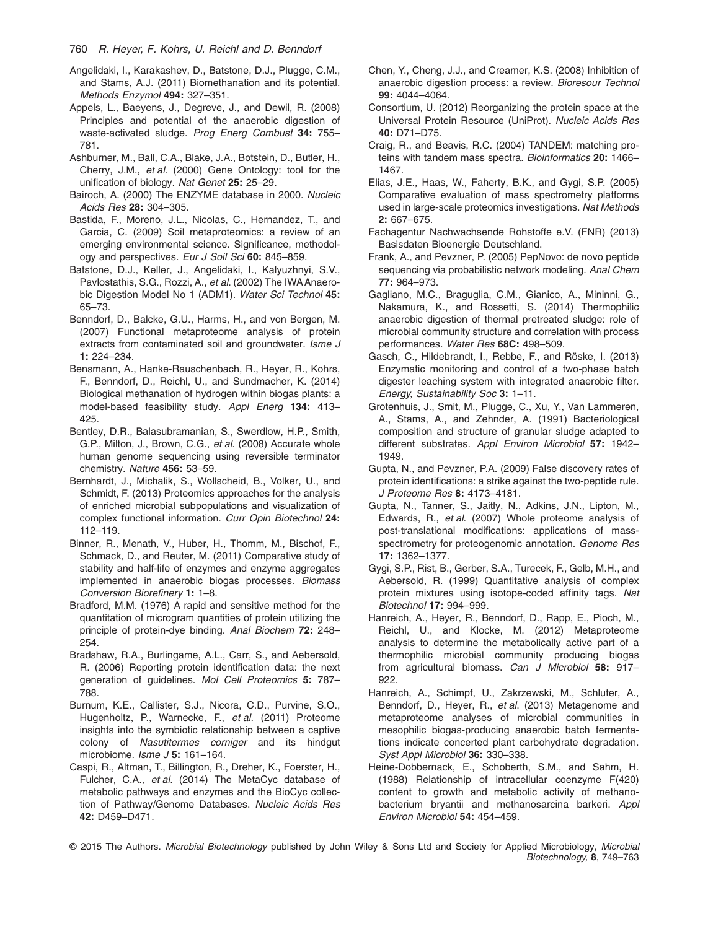- Angelidaki, I., Karakashev, D., Batstone, D.J., Plugge, C.M., and Stams, A.J. (2011) Biomethanation and its potential. *Methods Enzymol* **494:** 327–351.
- Appels, L., Baeyens, J., Degreve, J., and Dewil, R. (2008) Principles and potential of the anaerobic digestion of waste-activated sludge. *Prog Energ Combust* **34:** 755– 781.
- Ashburner, M., Ball, C.A., Blake, J.A., Botstein, D., Butler, H., Cherry, J.M., *et al*. (2000) Gene Ontology: tool for the unification of biology. *Nat Genet* **25:** 25–29.
- Bairoch, A. (2000) The ENZYME database in 2000. *Nucleic Acids Res* **28:** 304–305.
- Bastida, F., Moreno, J.L., Nicolas, C., Hernandez, T., and Garcia, C. (2009) Soil metaproteomics: a review of an emerging environmental science. Significance, methodology and perspectives. *Eur J Soil Sci* **60:** 845–859.
- Batstone, D.J., Keller, J., Angelidaki, I., Kalyuzhnyi, S.V., Pavlostathis, S.G., Rozzi, A., *et al*. (2002) The IWAAnaerobic Digestion Model No 1 (ADM1). *Water Sci Technol* **45:** 65–73.
- Benndorf, D., Balcke, G.U., Harms, H., and von Bergen, M. (2007) Functional metaproteome analysis of protein extracts from contaminated soil and groundwater. *Isme J* **1:** 224–234.
- Bensmann, A., Hanke-Rauschenbach, R., Heyer, R., Kohrs, F., Benndorf, D., Reichl, U., and Sundmacher, K. (2014) Biological methanation of hydrogen within biogas plants: a model-based feasibility study. *Appl Energ* **134:** 413– 425.
- Bentley, D.R., Balasubramanian, S., Swerdlow, H.P., Smith, G.P., Milton, J., Brown, C.G., *et al*. (2008) Accurate whole human genome sequencing using reversible terminator chemistry. *Nature* **456:** 53–59.
- Bernhardt, J., Michalik, S., Wollscheid, B., Volker, U., and Schmidt, F. (2013) Proteomics approaches for the analysis of enriched microbial subpopulations and visualization of complex functional information. *Curr Opin Biotechnol* **24:** 112–119.
- Binner, R., Menath, V., Huber, H., Thomm, M., Bischof, F., Schmack, D., and Reuter, M. (2011) Comparative study of stability and half-life of enzymes and enzyme aggregates implemented in anaerobic biogas processes. *Biomass Conversion Biorefinery* **1:** 1–8.
- Bradford, M.M. (1976) A rapid and sensitive method for the quantitation of microgram quantities of protein utilizing the principle of protein-dye binding. *Anal Biochem* **72:** 248– 254.
- Bradshaw, R.A., Burlingame, A.L., Carr, S., and Aebersold, R. (2006) Reporting protein identification data: the next generation of guidelines. *Mol Cell Proteomics* **5:** 787– 788.
- Burnum, K.E., Callister, S.J., Nicora, C.D., Purvine, S.O., Hugenholtz, P., Warnecke, F., *et al*. (2011) Proteome insights into the symbiotic relationship between a captive colony of *Nasutitermes corniger* and its hindgut microbiome. *Isme J* **5:** 161–164.
- Caspi, R., Altman, T., Billington, R., Dreher, K., Foerster, H., Fulcher, C.A., *et al*. (2014) The MetaCyc database of metabolic pathways and enzymes and the BioCyc collection of Pathway/Genome Databases. *Nucleic Acids Res* **42:** D459–D471.
- Chen, Y., Cheng, J.J., and Creamer, K.S. (2008) Inhibition of anaerobic digestion process: a review. *Bioresour Technol* **99:** 4044–4064.
- Consortium, U. (2012) Reorganizing the protein space at the Universal Protein Resource (UniProt). *Nucleic Acids Res* **40:** D71–D75.
- Craig, R., and Beavis, R.C. (2004) TANDEM: matching proteins with tandem mass spectra. *Bioinformatics* **20:** 1466– 1467.
- Elias, J.E., Haas, W., Faherty, B.K., and Gygi, S.P. (2005) Comparative evaluation of mass spectrometry platforms used in large-scale proteomics investigations. *Nat Methods* **2:** 667–675.
- Fachagentur Nachwachsende Rohstoffe e.V. (FNR) (2013) Basisdaten Bioenergie Deutschland.
- Frank, A., and Pevzner, P. (2005) PepNovo: de novo peptide sequencing via probabilistic network modeling. *Anal Chem* **77:** 964–973.
- Gagliano, M.C., Braguglia, C.M., Gianico, A., Mininni, G., Nakamura, K., and Rossetti, S. (2014) Thermophilic anaerobic digestion of thermal pretreated sludge: role of microbial community structure and correlation with process performances. *Water Res* **68C:** 498–509.
- Gasch, C., Hildebrandt, I., Rebbe, F., and Röske, I. (2013) Enzymatic monitoring and control of a two-phase batch digester leaching system with integrated anaerobic filter. *Energy, Sustainability Soc* **3:** 1–11.
- Grotenhuis, J., Smit, M., Plugge, C., Xu, Y., Van Lammeren, A., Stams, A., and Zehnder, A. (1991) Bacteriological composition and structure of granular sludge adapted to different substrates. *Appl Environ Microbiol* **57:** 1942– 1949.
- Gupta, N., and Pevzner, P.A. (2009) False discovery rates of protein identifications: a strike against the two-peptide rule. *J Proteome Res* **8:** 4173–4181.
- Gupta, N., Tanner, S., Jaitly, N., Adkins, J.N., Lipton, M., Edwards, R., *et al*. (2007) Whole proteome analysis of post-translational modifications: applications of massspectrometry for proteogenomic annotation. *Genome Res* **17:** 1362–1377.
- Gygi, S.P., Rist, B., Gerber, S.A., Turecek, F., Gelb, M.H., and Aebersold, R. (1999) Quantitative analysis of complex protein mixtures using isotope-coded affinity tags. *Nat Biotechnol* **17:** 994–999.
- Hanreich, A., Heyer, R., Benndorf, D., Rapp, E., Pioch, M., Reichl, U., and Klocke, M. (2012) Metaproteome analysis to determine the metabolically active part of a thermophilic microbial community producing biogas from agricultural biomass. *Can J Microbiol* **58:** 917– 922.
- Hanreich, A., Schimpf, U., Zakrzewski, M., Schluter, A., Benndorf, D., Heyer, R., *et al*. (2013) Metagenome and metaproteome analyses of microbial communities in mesophilic biogas-producing anaerobic batch fermentations indicate concerted plant carbohydrate degradation. *Syst Appl Microbiol* **36:** 330–338.
- Heine-Dobbernack, E., Schoberth, S.M., and Sahm, H. (1988) Relationship of intracellular coenzyme F(420) content to growth and metabolic activity of methanobacterium bryantii and methanosarcina barkeri. *Appl Environ Microbiol* **54:** 454–459.

<sup>© 2015</sup> The Authors. *Microbial Biotechnology* published by John Wiley & Sons Ltd and Society for Applied Microbiology, *Microbial Biotechnology,* **8**, 749–763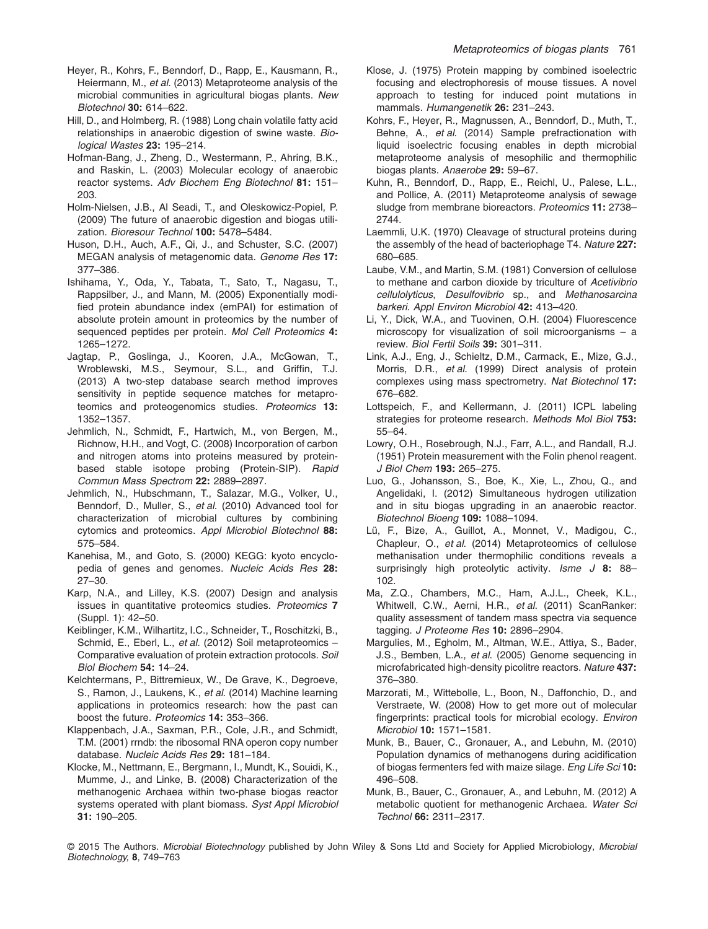- Heyer, R., Kohrs, F., Benndorf, D., Rapp, E., Kausmann, R., Heiermann, M., *et al*. (2013) Metaproteome analysis of the microbial communities in agricultural biogas plants. *New Biotechnol* **30:** 614–622.
- Hill, D., and Holmberg, R. (1988) Long chain volatile fatty acid relationships in anaerobic digestion of swine waste. *Biological Wastes* **23:** 195–214.
- Hofman-Bang, J., Zheng, D., Westermann, P., Ahring, B.K., and Raskin, L. (2003) Molecular ecology of anaerobic reactor systems. *Adv Biochem Eng Biotechnol* **81:** 151– 203.
- Holm-Nielsen, J.B., Al Seadi, T., and Oleskowicz-Popiel, P. (2009) The future of anaerobic digestion and biogas utilization. *Bioresour Technol* **100:** 5478–5484.
- Huson, D.H., Auch, A.F., Qi, J., and Schuster, S.C. (2007) MEGAN analysis of metagenomic data. *Genome Res* **17:** 377–386.
- Ishihama, Y., Oda, Y., Tabata, T., Sato, T., Nagasu, T., Rappsilber, J., and Mann, M. (2005) Exponentially modified protein abundance index (emPAI) for estimation of absolute protein amount in proteomics by the number of sequenced peptides per protein. *Mol Cell Proteomics* **4:** 1265–1272.
- Jagtap, P., Goslinga, J., Kooren, J.A., McGowan, T., Wroblewski, M.S., Seymour, S.L., and Griffin, T.J. (2013) A two-step database search method improves sensitivity in peptide sequence matches for metaproteomics and proteogenomics studies. *Proteomics* **13:** 1352–1357.
- Jehmlich, N., Schmidt, F., Hartwich, M., von Bergen, M., Richnow, H.H., and Vogt, C. (2008) Incorporation of carbon and nitrogen atoms into proteins measured by proteinbased stable isotope probing (Protein-SIP). *Rapid Commun Mass Spectrom* **22:** 2889–2897.
- Jehmlich, N., Hubschmann, T., Salazar, M.G., Volker, U., Benndorf, D., Muller, S., *et al*. (2010) Advanced tool for characterization of microbial cultures by combining cytomics and proteomics. *Appl Microbiol Biotechnol* **88:** 575–584.
- Kanehisa, M., and Goto, S. (2000) KEGG: kyoto encyclopedia of genes and genomes. *Nucleic Acids Res* **28:** 27–30.
- Karp, N.A., and Lilley, K.S. (2007) Design and analysis issues in quantitative proteomics studies. *Proteomics* **7** (Suppl. 1): 42–50.
- Keiblinger, K.M., Wilhartitz, I.C., Schneider, T., Roschitzki, B., Schmid, E., Eberl, L., *et al*. (2012) Soil metaproteomics – Comparative evaluation of protein extraction protocols. *Soil Biol Biochem* **54:** 14–24.
- Kelchtermans, P., Bittremieux, W., De Grave, K., Degroeve, S., Ramon, J., Laukens, K., *et al*. (2014) Machine learning applications in proteomics research: how the past can boost the future. *Proteomics* **14:** 353–366.
- Klappenbach, J.A., Saxman, P.R., Cole, J.R., and Schmidt, T.M. (2001) rrndb: the ribosomal RNA operon copy number database. *Nucleic Acids Res* **29:** 181–184.
- Klocke, M., Nettmann, E., Bergmann, I., Mundt, K., Souidi, K., Mumme, J., and Linke, B. (2008) Characterization of the methanogenic Archaea within two-phase biogas reactor systems operated with plant biomass. *Syst Appl Microbiol* **31:** 190–205.
- Klose, J. (1975) Protein mapping by combined isoelectric focusing and electrophoresis of mouse tissues. A novel approach to testing for induced point mutations in mammals. *Humangenetik* **26:** 231–243.
- Kohrs, F., Heyer, R., Magnussen, A., Benndorf, D., Muth, T., Behne, A., *et al*. (2014) Sample prefractionation with liquid isoelectric focusing enables in depth microbial metaproteome analysis of mesophilic and thermophilic biogas plants. *Anaerobe* **29:** 59–67.
- Kuhn, R., Benndorf, D., Rapp, E., Reichl, U., Palese, L.L., and Pollice, A. (2011) Metaproteome analysis of sewage sludge from membrane bioreactors. *Proteomics* **11:** 2738– 2744.
- Laemmli, U.K. (1970) Cleavage of structural proteins during the assembly of the head of bacteriophage T4. *Nature* **227:** 680–685.
- Laube, V.M., and Martin, S.M. (1981) Conversion of cellulose to methane and carbon dioxide by triculture of *Acetivibrio cellulolyticus*, *Desulfovibrio* sp., and *Methanosarcina barkeri*. *Appl Environ Microbiol* **42:** 413–420.
- Li, Y., Dick, W.A., and Tuovinen, O.H. (2004) Fluorescence microscopy for visualization of soil microorganisms – a review. *Biol Fertil Soils* **39:** 301–311.
- Link, A.J., Eng, J., Schieltz, D.M., Carmack, E., Mize, G.J., Morris, D.R., *et al*. (1999) Direct analysis of protein complexes using mass spectrometry. *Nat Biotechnol* **17:** 676–682.
- Lottspeich, F., and Kellermann, J. (2011) ICPL labeling strategies for proteome research. *Methods Mol Biol* **753:** 55–64.
- Lowry, O.H., Rosebrough, N.J., Farr, A.L., and Randall, R.J. (1951) Protein measurement with the Folin phenol reagent. *J Biol Chem* **193:** 265–275.
- Luo, G., Johansson, S., Boe, K., Xie, L., Zhou, Q., and Angelidaki, I. (2012) Simultaneous hydrogen utilization and in situ biogas upgrading in an anaerobic reactor. *Biotechnol Bioeng* **109:** 1088–1094.
- Lü, F., Bize, A., Guillot, A., Monnet, V., Madigou, C., Chapleur, O., *et al*. (2014) Metaproteomics of cellulose methanisation under thermophilic conditions reveals a surprisingly high proteolytic activity. *Isme J* **8:** 88– 102.
- Ma, Z.Q., Chambers, M.C., Ham, A.J.L., Cheek, K.L., Whitwell, C.W., Aerni, H.R., *et al*. (2011) ScanRanker: quality assessment of tandem mass spectra via sequence tagging. *J Proteome Res* **10:** 2896–2904.
- Margulies, M., Egholm, M., Altman, W.E., Attiya, S., Bader, J.S., Bemben, L.A., *et al*. (2005) Genome sequencing in microfabricated high-density picolitre reactors. *Nature* **437:** 376–380.
- Marzorati, M., Wittebolle, L., Boon, N., Daffonchio, D., and Verstraete, W. (2008) How to get more out of molecular fingerprints: practical tools for microbial ecology. *Environ Microbiol* **10:** 1571–1581.
- Munk, B., Bauer, C., Gronauer, A., and Lebuhn, M. (2010) Population dynamics of methanogens during acidification of biogas fermenters fed with maize silage. *Eng Life Sci* **10:** 496–508.
- Munk, B., Bauer, C., Gronauer, A., and Lebuhn, M. (2012) A metabolic quotient for methanogenic Archaea. *Water Sci Technol* **66:** 2311–2317.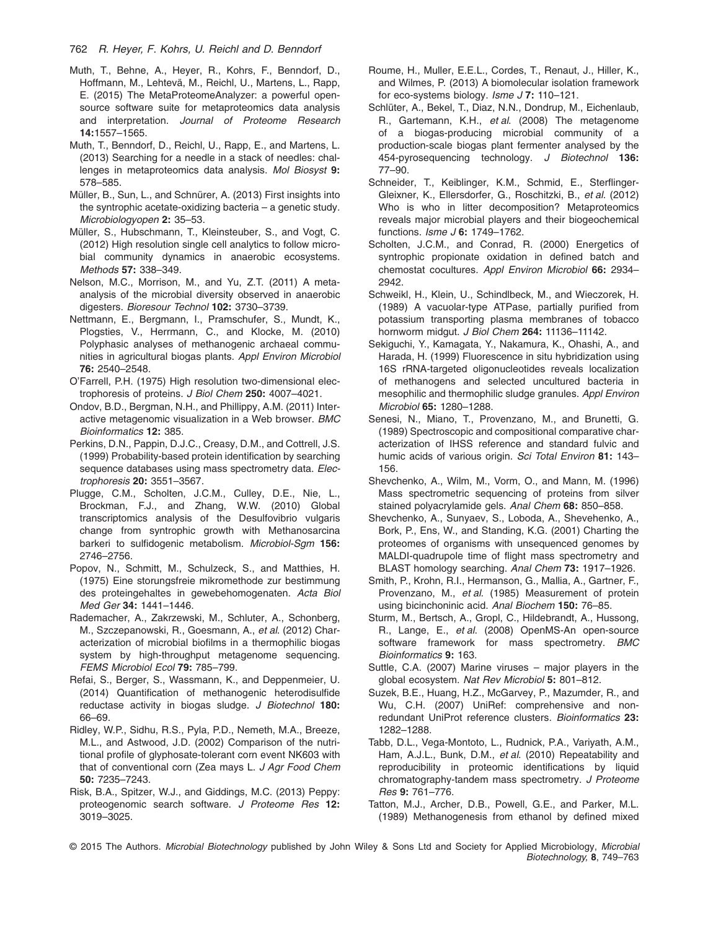- Muth, T., Behne, A., Heyer, R., Kohrs, F., Benndorf, D., Hoffmann, M., Lehtevä, M., Reichl, U., Martens, L., Rapp, E. (2015) The MetaProteomeAnalyzer: a powerful opensource software suite for metaproteomics data analysis and interpretation. *Journal of Proteome Research* **14:**1557–1565.
- Muth, T., Benndorf, D., Reichl, U., Rapp, E., and Martens, L. (2013) Searching for a needle in a stack of needles: challenges in metaproteomics data analysis. *Mol Biosyst* **9:** 578–585.
- Müller, B., Sun, L., and Schnürer, A. (2013) First insights into the syntrophic acetate-oxidizing bacteria – a genetic study. *Microbiologyopen* **2:** 35–53.
- Müller, S., Hubschmann, T., Kleinsteuber, S., and Vogt, C. (2012) High resolution single cell analytics to follow microbial community dynamics in anaerobic ecosystems. *Methods* **57:** 338–349.
- Nelson, M.C., Morrison, M., and Yu, Z.T. (2011) A metaanalysis of the microbial diversity observed in anaerobic digesters. *Bioresour Technol* **102:** 3730–3739.
- Nettmann, E., Bergmann, I., Pramschufer, S., Mundt, K., Plogsties, V., Herrmann, C., and Klocke, M. (2010) Polyphasic analyses of methanogenic archaeal communities in agricultural biogas plants. *Appl Environ Microbiol* **76:** 2540–2548.
- O'Farrell, P.H. (1975) High resolution two-dimensional electrophoresis of proteins. *J Biol Chem* **250:** 4007–4021.
- Ondov, B.D., Bergman, N.H., and Phillippy, A.M. (2011) Interactive metagenomic visualization in a Web browser. *BMC Bioinformatics* **12:** 385.
- Perkins, D.N., Pappin, D.J.C., Creasy, D.M., and Cottrell, J.S. (1999) Probability-based protein identification by searching sequence databases using mass spectrometry data. *Electrophoresis* **20:** 3551–3567.
- Plugge, C.M., Scholten, J.C.M., Culley, D.E., Nie, L., Brockman, F.J., and Zhang, W.W. (2010) Global transcriptomics analysis of the Desulfovibrio vulgaris change from syntrophic growth with Methanosarcina barkeri to sulfidogenic metabolism. *Microbiol-Sgm* **156:** 2746–2756.
- Popov, N., Schmitt, M., Schulzeck, S., and Matthies, H. (1975) Eine storungsfreie mikromethode zur bestimmung des proteingehaltes in gewebehomogenaten. *Acta Biol Med Ger* **34:** 1441–1446.
- Rademacher, A., Zakrzewski, M., Schluter, A., Schonberg, M., Szczepanowski, R., Goesmann, A., *et al*. (2012) Characterization of microbial biofilms in a thermophilic biogas system by high-throughput metagenome sequencing. *FEMS Microbiol Ecol* **79:** 785–799.
- Refai, S., Berger, S., Wassmann, K., and Deppenmeier, U. (2014) Quantification of methanogenic heterodisulfide reductase activity in biogas sludge. *J Biotechnol* **180:** 66–69.
- Ridley, W.P., Sidhu, R.S., Pyla, P.D., Nemeth, M.A., Breeze, M.L., and Astwood, J.D. (2002) Comparison of the nutritional profile of glyphosate-tolerant corn event NK603 with that of conventional corn (Zea mays L. *J Agr Food Chem* **50:** 7235–7243.
- Risk, B.A., Spitzer, W.J., and Giddings, M.C. (2013) Peppy: proteogenomic search software. *J Proteome Res* **12:** 3019–3025.
- Roume, H., Muller, E.E.L., Cordes, T., Renaut, J., Hiller, K., and Wilmes, P. (2013) A biomolecular isolation framework for eco-systems biology. *Isme J* **7:** 110–121.
- Schlüter, A., Bekel, T., Diaz, N.N., Dondrup, M., Eichenlaub, R., Gartemann, K.H., *et al*. (2008) The metagenome of a biogas-producing microbial community of a production-scale biogas plant fermenter analysed by the 454-pyrosequencing technology. *J Biotechnol* **136:** 77–90.
- Schneider, T., Keiblinger, K.M., Schmid, E., Sterflinger-Gleixner, K., Ellersdorfer, G., Roschitzki, B., *et al*. (2012) Who is who in litter decomposition? Metaproteomics reveals major microbial players and their biogeochemical functions. *Isme J* **6:** 1749–1762.
- Scholten, J.C.M., and Conrad, R. (2000) Energetics of syntrophic propionate oxidation in defined batch and chemostat cocultures. *Appl Environ Microbiol* **66:** 2934– 2942.
- Schweikl, H., Klein, U., Schindlbeck, M., and Wieczorek, H. (1989) A vacuolar-type ATPase, partially purified from potassium transporting plasma membranes of tobacco hornworm midgut. *J Biol Chem* **264:** 11136–11142.
- Sekiguchi, Y., Kamagata, Y., Nakamura, K., Ohashi, A., and Harada, H. (1999) Fluorescence in situ hybridization using 16S rRNA-targeted oligonucleotides reveals localization of methanogens and selected uncultured bacteria in mesophilic and thermophilic sludge granules. *Appl Environ Microbiol* **65:** 1280–1288.
- Senesi, N., Miano, T., Provenzano, M., and Brunetti, G. (1989) Spectroscopic and compositional comparative characterization of IHSS reference and standard fulvic and humic acids of various origin. *Sci Total Environ* **81:** 143– 156.
- Shevchenko, A., Wilm, M., Vorm, O., and Mann, M. (1996) Mass spectrometric sequencing of proteins from silver stained polyacrylamide gels. *Anal Chem* **68:** 850–858.
- Shevchenko, A., Sunyaev, S., Loboda, A., Shevehenko, A., Bork, P., Ens, W., and Standing, K.G. (2001) Charting the proteomes of organisms with unsequenced genomes by MALDI-quadrupole time of flight mass spectrometry and BLAST homology searching. *Anal Chem* **73:** 1917–1926.
- Smith, P., Krohn, R.I., Hermanson, G., Mallia, A., Gartner, F., Provenzano, M., *et al*. (1985) Measurement of protein using bicinchoninic acid. *Anal Biochem* **150:** 76–85.
- Sturm, M., Bertsch, A., Gropl, C., Hildebrandt, A., Hussong, R., Lange, E., *et al*. (2008) OpenMS-An open-source software framework for mass spectrometry. *BMC Bioinformatics* **9:** 163.
- Suttle, C.A. (2007) Marine viruses major players in the global ecosystem. *Nat Rev Microbiol* **5:** 801–812.
- Suzek, B.E., Huang, H.Z., McGarvey, P., Mazumder, R., and Wu, C.H. (2007) UniRef: comprehensive and nonredundant UniProt reference clusters. *Bioinformatics* **23:** 1282–1288.
- Tabb, D.L., Vega-Montoto, L., Rudnick, P.A., Variyath, A.M., Ham, A.J.L., Bunk, D.M., *et al*. (2010) Repeatability and reproducibility in proteomic identifications by liquid chromatography-tandem mass spectrometry. *J Proteome Res* **9:** 761–776.
- Tatton, M.J., Archer, D.B., Powell, G.E., and Parker, M.L. (1989) Methanogenesis from ethanol by defined mixed
- © 2015 The Authors. *Microbial Biotechnology* published by John Wiley & Sons Ltd and Society for Applied Microbiology, *Microbial Biotechnology,* **8**, 749–763